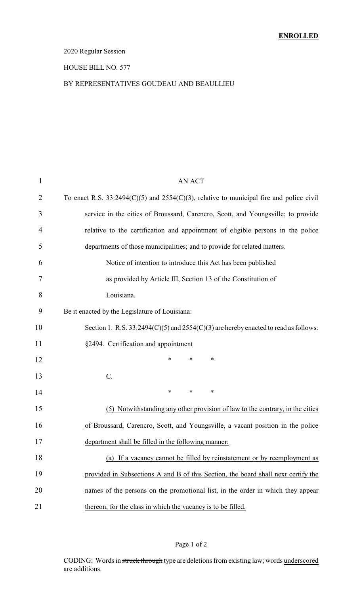### 2020 Regular Session

#### HOUSE BILL NO. 577

#### BY REPRESENTATIVES GOUDEAU AND BEAULLIEU

| 1  | <b>AN ACT</b>                                                                                |
|----|----------------------------------------------------------------------------------------------|
| 2  | To enact R.S. $33:2494(C)(5)$ and $2554(C)(3)$ , relative to municipal fire and police civil |
| 3  | service in the cities of Broussard, Carencro, Scott, and Youngsville; to provide             |
| 4  | relative to the certification and appointment of eligible persons in the police              |
| 5  | departments of those municipalities; and to provide for related matters.                     |
| 6  | Notice of intention to introduce this Act has been published                                 |
| 7  | as provided by Article III, Section 13 of the Constitution of                                |
| 8  | Louisiana.                                                                                   |
| 9  | Be it enacted by the Legislature of Louisiana:                                               |
| 10 | Section 1. R.S. $33:2494(C)(5)$ and $2554(C)(3)$ are hereby enacted to read as follows:      |
| 11 | §2494. Certification and appointment                                                         |
| 12 | $\ast$<br>$\ast$<br>*                                                                        |
| 13 | C.                                                                                           |
| 14 | $\ast$<br>∗<br>∗                                                                             |
| 15 | (5) Notwithstanding any other provision of law to the contrary, in the cities                |
| 16 | of Broussard, Carencro, Scott, and Youngsville, a vacant position in the police              |
| 17 | department shall be filled in the following manner:                                          |
| 18 | (a) If a vacancy cannot be filled by reinstatement or by reemployment as                     |
| 19 | provided in Subsections A and B of this Section, the board shall next certify the            |
| 20 | names of the persons on the promotional list, in the order in which they appear              |
| 21 | thereon, for the class in which the vacancy is to be filled.                                 |
|    |                                                                                              |

### Page 1 of 2

CODING: Words in struck through type are deletions from existing law; words underscored are additions.